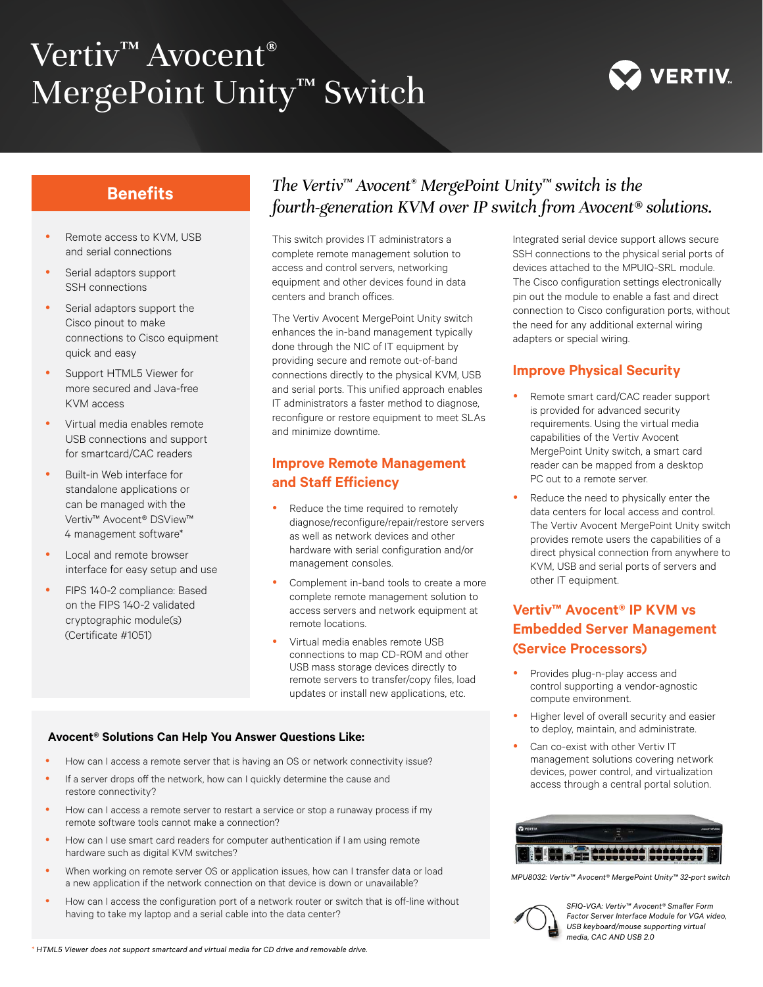# Vertiv™ Avocent® MergePoint Unity<sup>™</sup> Switch



# **Benefits**

- Remote access to KVM, USB and serial connections
- Serial adaptors support SSH connections
- Serial adaptors support the Cisco pinout to make connections to Cisco equipment quick and easy
- Support HTML5 Viewer for more secured and Java-free KVM access
- y Virtual media enables remote USB connections and support for smartcard/CAC readers
- Built-in Web interface for standalone applications or can be managed with the Vertiv™ Avocent® DSView™ 4 management software\*
- Local and remote browser interface for easy setup and use
- FIPS 140-2 compliance: Based on the FIPS 140-2 validated cryptographic module(s) (Certificate #1051)

# *The Vertiv™ Avocent® MergePoint Unity™ switch is the fourth-generation KVM over IP switch from Avocent® solutions.*

This switch provides IT administrators a complete remote management solution to access and control servers, networking equipment and other devices found in data centers and branch offices.

The Vertiv Avocent MergePoint Unity switch enhances the in-band management typically done through the NIC of IT equipment by providing secure and remote out-of-band connections directly to the physical KVM, USB and serial ports. This unified approach enables IT administrators a faster method to diagnose, reconfigure or restore equipment to meet SLAs and minimize downtime.

# **Improve Remote Management and Staff Efficiency**

- Reduce the time required to remotely diagnose/reconfigure/repair/restore servers as well as network devices and other hardware with serial configuration and/or management consoles.
- Complement in-band tools to create a more complete remote management solution to access servers and network equipment at remote locations.
- y Virtual media enables remote USB connections to map CD-ROM and other USB mass storage devices directly to remote servers to transfer/copy files, load updates or install new applications, etc.

#### **Avocent® Solutions Can Help You Answer Questions Like:**

- How can I access a remote server that is having an OS or network connectivity issue?
- If a server drops off the network, how can I quickly determine the cause and restore connectivity?
- How can I access a remote server to restart a service or stop a runaway process if my remote software tools cannot make a connection?
- How can I use smart card readers for computer authentication if I am using remote hardware such as digital KVM switches?
- When working on remote server OS or application issues, how can I transfer data or load a new application if the network connection on that device is down or unavailable?
- How can I access the configuration port of a network router or switch that is off-line without having to take my laptop and a serial cable into the data center?

Integrated serial device support allows secure SSH connections to the physical serial ports of devices attached to the MPUIQ-SRL module. The Cisco configuration settings electronically pin out the module to enable a fast and direct connection to Cisco configuration ports, without the need for any additional external wiring adapters or special wiring.

## **Improve Physical Security**

- Remote smart card/CAC reader support is provided for advanced security requirements. Using the virtual media capabilities of the Vertiv Avocent MergePoint Unity switch, a smart card reader can be mapped from a desktop PC out to a remote server.
- Reduce the need to physically enter the data centers for local access and control. The Vertiv Avocent MergePoint Unity switch provides remote users the capabilities of a direct physical connection from anywhere to KVM, USB and serial ports of servers and other IT equipment.

# **Vertiv™ Avocent® IP KVM vs Embedded Server Management (Service Processors)**

- Provides plug-n-play access and control supporting a vendor-agnostic compute environment.
- Higher level of overall security and easier to deploy, maintain, and administrate.
- Can co-exist with other Vertiv IT management solutions covering network devices, power control, and virtualization access through a central portal solution.



*MPU8032: Vertiv™ Avocent® MergePoint Unity™ 32-port switch*



*SFIQ-VGA: Vertiv™ Avocent® Smaller Form Factor Server Interface Module for VGA video, USB keyboard/mouse supporting virtual media, CAC AND USB 2.0*